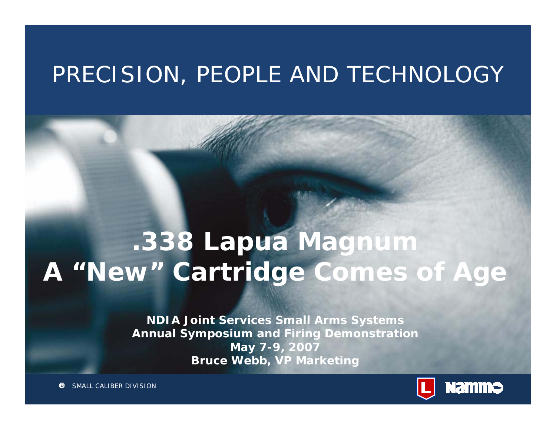### PRECISION, PEOPLE AND TECHNOLOGY

# **.338 Lapua Magnum A "New" Cartridge Comes of Age**

**NDIA Joint Services Small Arms Systems Annual Symposium and Firing Demonstration May 7-9, 2007 Bruce Webb, VP Marketing** 

11.05.2007 12.05.2007 12.05.2007 12.05.2007 12.05.2007 12.05.2007 12.05.2007 12.05.2007 12.05.2007 12.05.2007

SMALL CALIBER DIVISION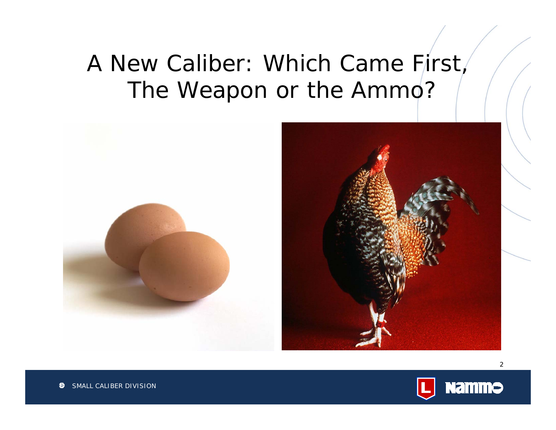## A New Caliber: Which Came First, The Weapon or the Ammo?





SMALL CALIBER DIVISION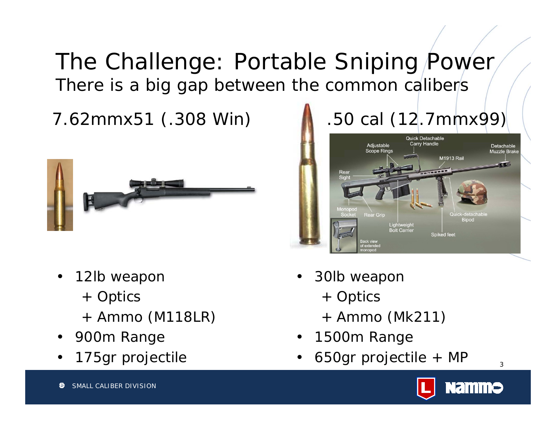### The Challenge: Portable Sniping Power There is a big gap between the common calibers

#### 7.62mmx51 (.308 Win) .50 cal (12.7mmx99)



- $\bullet$  12lb weapon
	- + Optics
	- + Ammo (M118LR)
- •900m Range
- •175gr projectile





- • 30lb weapon
	- + Optics
	- + Ammo (Mk211)
- •1500m Range
- •650gr projectile + MP

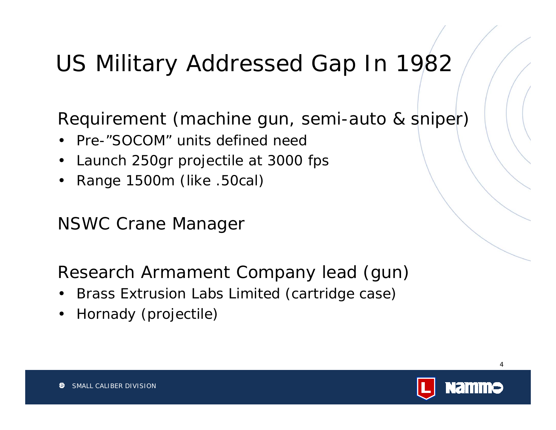## US Military Addressed Gap In 1982

Requirement (machine gun, semi-auto & sniper)

- •Pre-"SOCOM" units defined need
- •Launch 250gr projectile at 3000 fps
- •Range 1500m (like .50cal)

NSWC Crane Manager

Research Armament Company lead (gun)

- •Brass Extrusion Labs Limited (cartridge case)
- $\bullet$ Hornady (projectile)

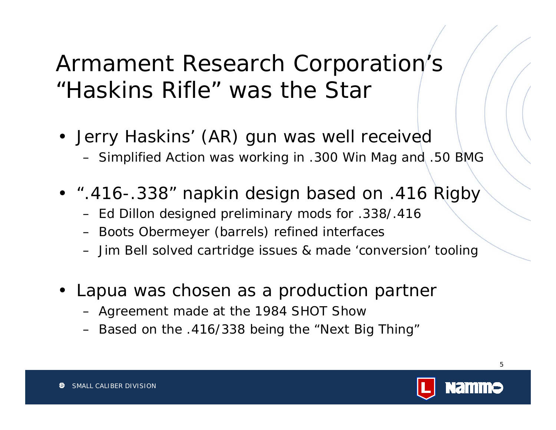## Armament Research Corporation's "Haskins Rifle" was the Star

- Jerry Haskins' (AR) gun was well received – Simplified Action was working in .300 Win Mag and .50 BMG
- ".416-.338" napkin design based on .416 Rigby
	- –Ed Dillon designed preliminary mods for .338/.416
	- –Boots Obermeyer (barrels) refined interfaces
	- Jim Bell solved cartridge issues & made 'conversion' tooling
- Lapua was chosen as a production partner
	- Agreement made at the 1984 SHOT Show
	- –Based on the .416/338 being the "Next Big Thing"

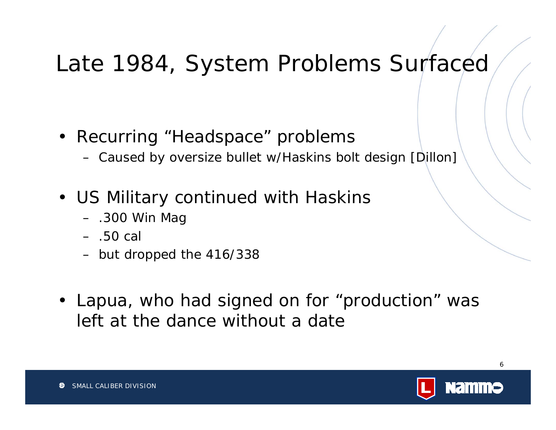## Late 1984, System Problems Surfaced

- Recurring "Headspace" problems
	- –Caused by oversize bullet w/Haskins bolt design [Dillon]
- US Military continued with Haskins
	- .300 Win Mag
	- .50 cal
	- but dropped the 416/338
- Lapua, who had signed on for "production" was left at the dance without a date

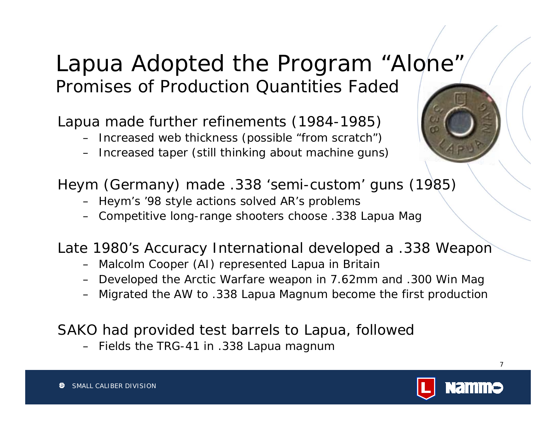#### Lapua Adopted the Program "Alone" Promises of Production Quantities Faded

Lapua made further refinements (1984-1985)

- Increased web thickness (possible "from scratch")
- Increased taper (still thinking about machine guns)



Heym (Germany) made .338 'semi-custom' guns (1985)

- Heym's '98 style actions solved AR's problems
- Competitive long-range shooters choose .338 Lapua Mag

Late 1980's Accuracy International developed a .338 Weapon

- Malcolm Cooper (AI) represented Lapua in Britain
- Developed the Arctic Warfare weapon in 7.62mm and .300 Win Mag
- Migrated the AW to .338 Lapua Magnum become the first production

SAKO had provided test barrels to Lapua, followed

– Fields the TRG-41 in .338 Lapua magnum

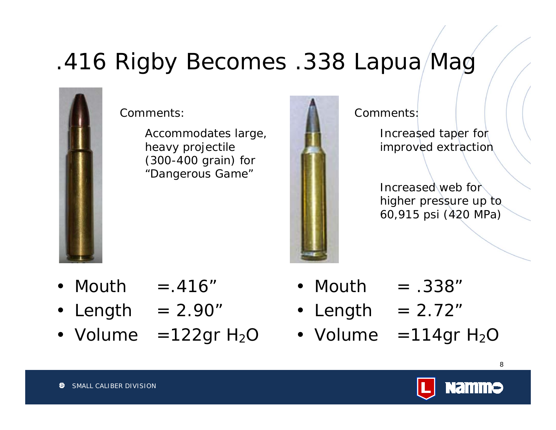# .416 Rigby Becomes .338 Lapua Mag



Comments:

Accommodates large, heavy projectile (300-400 grain) for "Dangerous Game"



Comments:Increased taper for improved extraction

> Increased web for higher pressure up to 60,915 psi (420 MPa)

- •Mouth  $= .416"$
- $\bullet$ Length  $= 2.90"$
- $\bullet\,$  Volume  $\,$  =122gr H $_2$ C  $\,$
- •Mouth  $\blacksquare$  $= .338"$
- Length = 2.72"
- Volume Volume  $\;$  =114gr H $_{2}$ C

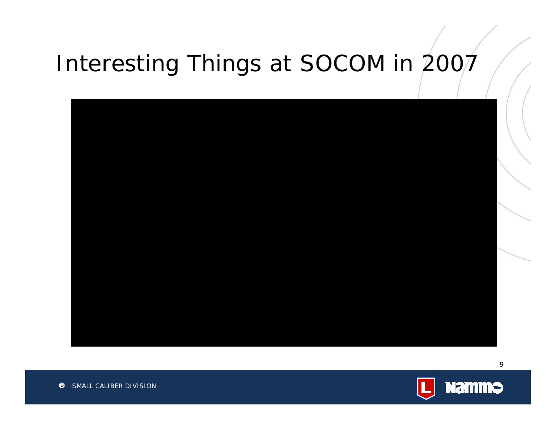# Interesting Things at SOCOM in 2007



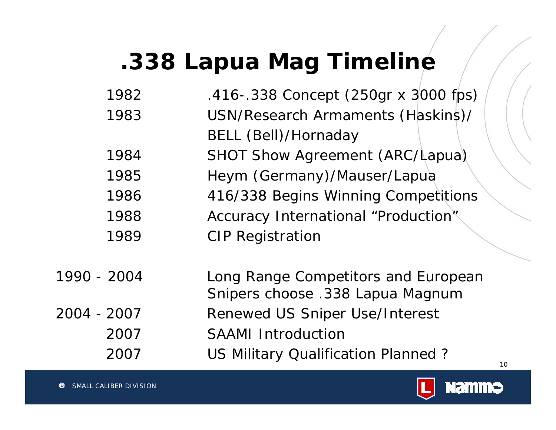# **.338 Lapua Mag Timeline**

| 1982        | .416 - .338 Concept (250gr x 3000 fps)                                  |
|-------------|-------------------------------------------------------------------------|
| 1983        | USN/Research Armaments (Haskins)/                                       |
|             | <b>BELL (Bell)/Hornaday</b>                                             |
| 1984        | SHOT Show Agreement (ARC/Lapua)                                         |
| 1985        | Heym (Germany)/Mauser/Lapua                                             |
| 1986        | 416/338 Begins Winning Competitions                                     |
| 1988        | Accuracy International "Production"                                     |
| 1989        | <b>CIP Registration</b>                                                 |
| 1990 - 2004 | Long Range Competitors and European<br>Snipers choose .338 Lapua Magnum |
| 2004 - 2007 | <b>Renewed US Sniper Use/Interest</b>                                   |
| 2007        | <b>SAAMI Introduction</b>                                               |
| 2007        | US Military Qualification Planned?<br>10                                |
|             |                                                                         |

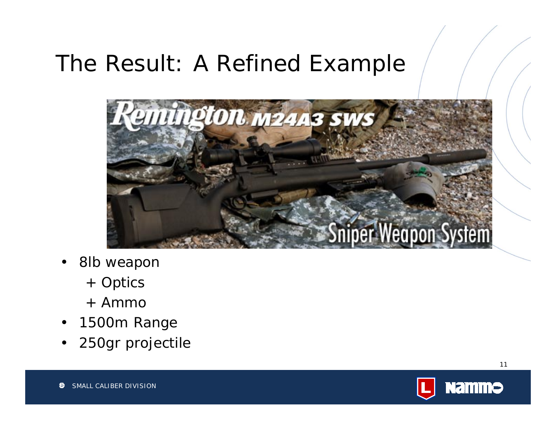### The Result: A Refined Example



- $\bullet$  8lb weapon
	- + Optics
	- + Ammo
- $\bullet$ 1500m Range
- •250gr projectile

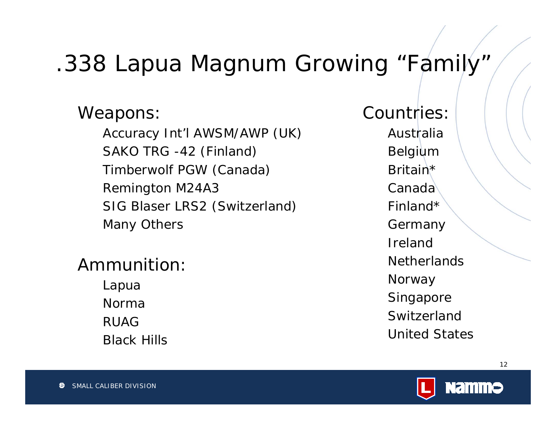## .338 Lapua Magnum Growing "Family"

Weapons:

Accuracy Int'l AWSM/AWP (UK) SAKO TRG -42 (Finland) Timberwolf PGW (Canada) Remington M24A3 SIG Blaser LRS2 (Switzerland) Many Others

Ammunition:

Lapua NormaRUAGBlack Hills Countries:AustraliaBelgium Britain\*CanadaFinland\*Germany Ireland**Netherlands Norway** Singapore SwitzerlandUnited States